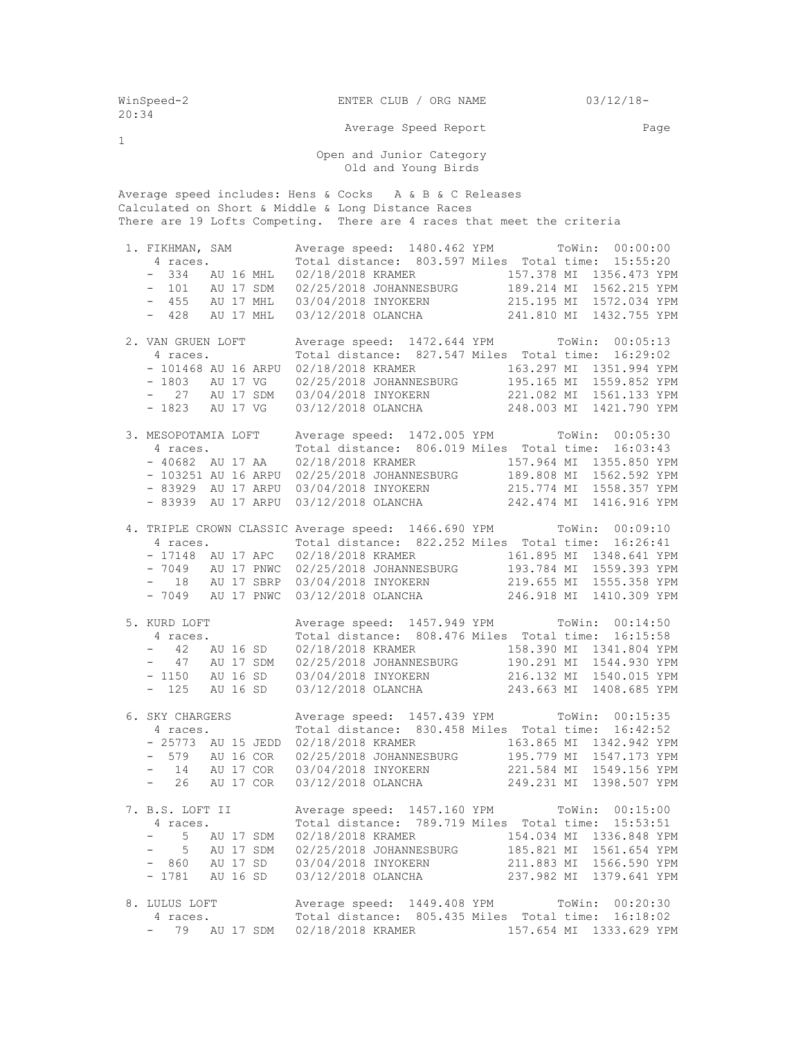| WinSpeed-2<br>20:34                                                                                                                                                                     |                                                                                                                                       | ENTER CLUB / ORG NAME                                                                                                                                                                                                                                                                                                                                                                                                                                                                                                                                                                                                                                                                     | $03/12/18-$                                         |  |  |  |  |  |  |  |  |
|-----------------------------------------------------------------------------------------------------------------------------------------------------------------------------------------|---------------------------------------------------------------------------------------------------------------------------------------|-------------------------------------------------------------------------------------------------------------------------------------------------------------------------------------------------------------------------------------------------------------------------------------------------------------------------------------------------------------------------------------------------------------------------------------------------------------------------------------------------------------------------------------------------------------------------------------------------------------------------------------------------------------------------------------------|-----------------------------------------------------|--|--|--|--|--|--|--|--|
| $\mathbf{1}$                                                                                                                                                                            |                                                                                                                                       | Average Speed Report                                                                                                                                                                                                                                                                                                                                                                                                                                                                                                                                                                                                                                                                      | Page                                                |  |  |  |  |  |  |  |  |
| Open and Junior Category<br>Old and Young Birds                                                                                                                                         |                                                                                                                                       |                                                                                                                                                                                                                                                                                                                                                                                                                                                                                                                                                                                                                                                                                           |                                                     |  |  |  |  |  |  |  |  |
| Average speed includes: Hens & Cocks A & B & C Releases<br>Calculated on Short & Middle & Long Distance Races<br>There are 19 Lofts Competing. There are 4 races that meet the criteria |                                                                                                                                       |                                                                                                                                                                                                                                                                                                                                                                                                                                                                                                                                                                                                                                                                                           |                                                     |  |  |  |  |  |  |  |  |
|                                                                                                                                                                                         |                                                                                                                                       | 1. FIKHMAN, SAM Average speed: 1480.462 YPM TOWin: 00:00:00<br>4 races. Total distance: 803.597 Miles Total time: 15:55:20<br>457.378 MI 1356.473 YPM = 101 AU 17 SDM = 02/25/2018 JOHANNESBURG = 101 AU 17 SDM = 02/25/2018 JOHANNESBURG = 189.214 MI 1562.215 YPM = 455 AU 17 MHL = 03/04/2018 INYOKERN = 215.195 MI 1572.034 YPM<br>- 428 AU 17 MHL 03/12/2018 OLANCHA 241.810 MI 1432.755 YPM                                                                                                                                                                                                                                                                                         |                                                     |  |  |  |  |  |  |  |  |
|                                                                                                                                                                                         | 2. VAN GRUEN LOFT<br>4 races.<br>- 1823 AU 17 VG                                                                                      | Average speed: 1472.644 YPM ToWin: 00:05:13<br>Total distance: 827.547 Miles Total time: 16:29:02<br>- 101468 AU 16 ARPU 02/18/2018 KRAMER 163.297 MI 1351.994 YPM<br>- 1803 AU 17 VG 02/25/2018 JOHANNESBURG 195.165 MI 1559.852 YPM<br>- 27 AU 17 SDM 03/04/2018 INYOKERN 221.082 MI 1561.133 YPM<br>03/12/2018 OLANCHA 248.003 MI 1421.790 YPM                                                                                                                                                                                                                                                                                                                                         |                                                     |  |  |  |  |  |  |  |  |
|                                                                                                                                                                                         | 3. MESOPOTAMIA LOFT<br>4 races.<br>$-40682$ AU 17 AA<br>- 83939 AU 17 ARPU                                                            | Average speed: 1472.005 YPM ToWin: 00:05:30<br>Total distance: 806.019 Miles Total time: 16:03:43<br>- 83929 AU 17 ARPU 03/04/2018 INYOKERN 215.774 MI 1558.357 YPM<br>03/12/2018 OLANCHA 242.474 MI 1416.916 YPM                                                                                                                                                                                                                                                                                                                                                                                                                                                                         |                                                     |  |  |  |  |  |  |  |  |
|                                                                                                                                                                                         |                                                                                                                                       | 4. TRIPLE CROWN CLASSIC Average speed: 1466.690 YPM TOWin: 00:09:10<br>Total distance: 822.252 Miles Total time: 16:26:41<br>4 races. Total distance: 822.252 Miles Total time: 16:26:41<br>- 17148 AU 17 APC 02/18/2018 KRAMER 161.895 MI 1348.641 YPM<br>- 7049 AU 17 PNWC 02/25/2018 JOHANNESBURG 193.784 MI 1559.393 YPM<br>- 18 AU 17 SBRP 03/04/2018 INYOKERN 219.655 MI 1555.358 YPM<br>- 7049 AU 17 PNWC 03/12/2018 OLANCHA 246.918 MI 1410.309 YPM                                                                                                                                                                                                                               |                                                     |  |  |  |  |  |  |  |  |
|                                                                                                                                                                                         | 5. KURD LOFT<br>4 races. Total distance: 8<br>- 42 AU 16 SD 02/18/2018 KRAMER<br>47 AU 17 SDM<br>$\frac{1}{2}$<br>AU 16 SD<br>$-1150$ | Average speed: 1457.949 YPM ToWin: 00:14:50<br>Total distance: 808.476 Miles Total time:<br>02/25/2018 JOHANNESBURG 190.291 MI 1544.930 YPM<br>03/04/2018 INYOKERN<br>216.132 MI<br>- 125 AU 16 SD 03/12/2018 OLANCHA 243.663 MI 1408.685 YPM                                                                                                                                                                                                                                                                                                                                                                                                                                             | 16:15:58<br>158.390 MI 1341.804 YPM<br>1540.015 YPM |  |  |  |  |  |  |  |  |
|                                                                                                                                                                                         |                                                                                                                                       | 6. SKY CHARGERS Average speed: 1457.439 YPM TOWin: 00:15:35<br>4 races. Total distance: 830.458 Miles Total time: 16:42:52<br>- 25773 AU 15 JEDD 02/18/2018 KRAMER 163.865 MI 1342.942 YPM<br>- 579 AU 16 COR 02/25/2018 JOHANNESBURG 195.779 MI 1547.173 YPM<br>$\begin{tabular}{lllllllllllllllllllll} - & 14 & \hbox{\scriptsize AU} & 17 & \hbox{\scriptsize COR} & 03/04/2018 & \hbox{\scriptsize INYOKERN} & & 221.584 & \hbox{\scriptsize MI} & 1549.156 & \hbox{\scriptsize YPM} \\ - & 26 & \hbox{\scriptsize AU} & 17 & \hbox{\scriptsize COR} & 03/12/2018 & \hbox{\scriptsize OLANCHA} & & 249.231 & \hbox{\scriptsize MI} & 1398.507 & \hbox{\scriptsize YPM} \end{tabular}$ |                                                     |  |  |  |  |  |  |  |  |
|                                                                                                                                                                                         |                                                                                                                                       | 7. B.S. LOFT II Average speed: 1457.160 YPM TOWin: 00:15:00<br>4 races. Total distance: 789.719 Miles Total time: 15:53:51<br>- 5 AU 17 SDM 02/18/2018 KRAMER 154.034 MI 1336.848 YPM<br>- 5 AU 17 SDM 02/25/2018 JOHANNESBURG 185.821 MI 1561.654 YPM<br>- 860 AU 17 SD 03/04/2018 INYOKERN 211.883 MI 1566.590 YPM<br>- 1781 AU 16 SD 03/12/2018 OLANCHA 237.982 MI 1379.641 YPM                                                                                                                                                                                                                                                                                                        |                                                     |  |  |  |  |  |  |  |  |
|                                                                                                                                                                                         |                                                                                                                                       | 8. LULUS LOFT Average speed: 1449.408 YPM TOWin: 00:20:30<br>4 races. Total distance: 805.435 Miles Total time: 16:18:02<br>- 79 AU 17 SDM 02/18/2018 KRAMER 157.654 MI 1333.629 YPM                                                                                                                                                                                                                                                                                                                                                                                                                                                                                                      |                                                     |  |  |  |  |  |  |  |  |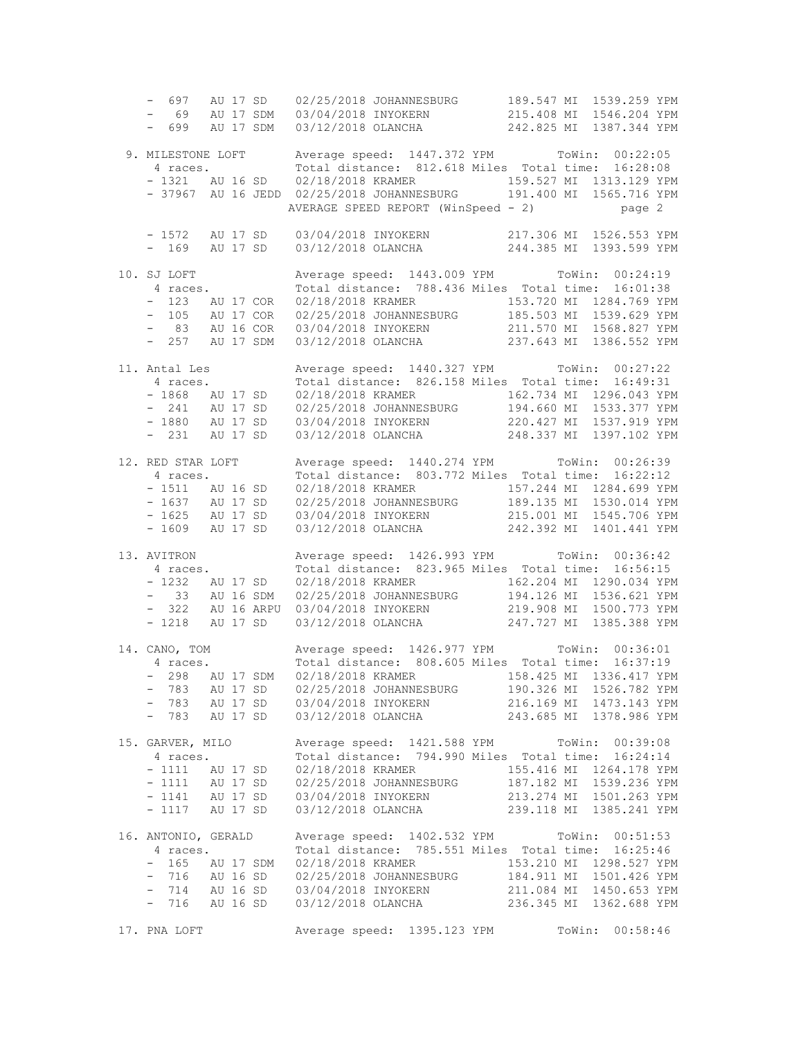- 697 AU 17 SD 02/25/2018 JOHANNESBURG 189.547 MI 1539.259 YPM - 69 AU 17 SDM 03/04/2018 INYOKERN 215.408 MI 1546.204 YPM - 699 AU 17 SDM 03/12/2018 OLANCHA 242.825 MI 1387.344 YPM 9. MILESTONE LOFT Average speed: 1447.372 YPM ToWin: 00:22:05 4 races. Total distance: 812.618 Miles Total time: 16:28:08 - 1321 AU 16 SD 02/18/2018 KRAMER 159.527 MI 1313.129 YPM - 37967 AU 16 JEDD 02/25/2018 JOHANNESBURG 191.400 MI 1565.716 YPM AVERAGE SPEED REPORT (WinSpeed - 2) page 2 - 1572 AU 17 SD 03/04/2018 INYOKERN 217.306 MI 1526.553 YPM<br>- 169 AU 17 SD 03/12/2018 OLANCHA 244.385 MI 1393.599 YPM  $-$  169 AU 17 SD 03/12/2018 OLANCHA 10. SJ LOFT Average speed: 1443.009 YPM ToWin: 00:24:19 4 races. Total distance: 788.436 Miles Total time: 16:01:38 - 123 AU 17 COR 02/18/2018 KRAMER 153.720 MI 1284.769 YPM - 105 AU 17 COR 02/25/2018 JOHANNESBURG 185.503 MI 1539.629 YPM - 83 AU 16 COR 03/04/2018 INYOKERN 211.570 MI 1568.827 YPM - 257 AU 17 SDM 03/12/2018 OLANCHA 237.643 MI 1386.552 YPM 11. Antal Les Average speed: 1440.327 YPM ToWin: 00:27:22 4 races. Total distance: 826.158 Miles Total time: 16:49:31 - 1868 AU 17 SD 02/18/2018 KRAMER 162.734 MI 1296.043 YPM - 241 AU 17 SD 02/25/2018 JOHANNESBURG 194.660 MI 1533.377 YPM - 1880 AU 17 SD 03/04/2018 INYOKERN 220.427 MI 1537.919 YPM - 231 AU 17 SD 03/12/2018 OLANCHA 248.337 MI 1397.102 YPM 12. RED STAR LOFT Average speed: 1440.274 YPM ToWin: 00:26:39 4 races. Total distance: 803.772 Miles Total time: 16:22:12 - 1511 AU 16 SD 02/18/2018 KRAMER 157.244 MI 1284.699 YPM - 1637 AU 17 SD 02/25/2018 JOHANNESBURG 189.135 MI 1530.014 YPM - 1625 AU 17 SD 03/04/2018 INYOKERN 215.001 MI 1545.706 YPM - 1609 AU 17 SD 03/12/2018 OLANCHA 242.392 MI 1401.441 YPM 13. AVITRON Average speed: 1426.993 YPM ToWin: 00:36:42 4 races. Total distance: 823.965 Miles Total time: 16:56:15 - 1232 AU 17 SD 02/18/2018 KRAMER 162.204 MI 1290.034 YPM - 33 AU 16 SDM 02/25/2018 JOHANNESBURG 194.126 MI 1536.621 YPM - 322 AU 16 ARPU 03/04/2018 INYOKERN 219.908 MI 1500.773 YPM - 1218 AU 17 SD 03/12/2018 OLANCHA 247.727 MI 1385.388 YPM 14. CANO, TOM Average speed: 1426.977 YPM ToWin: 00:36:01 4 races. Total distance: 808.605 Miles Total time: 16:37:19 - 298 AU 17 SDM 02/18/2018 KRAMER 158.425 MI 1336.417 YPM - 783 AU 17 SD 02/25/2018 JOHANNESBURG 190.326 MI 1526.782 YPM - 783 AU 17 SD 03/04/2018 INYOKERN 216.169 MI 1473.143 YPM - 783 AU 17 SD 03/12/2018 OLANCHA 243.685 MI 1378.986 YPM 15. GARVER, MILO Average speed: 1421.588 YPM ToWin: 00:39:08 4 races. Total distance: 794.990 Miles Total time: 16:24:14 - 1111 AU 17 SD 02/18/2018 KRAMER 155.416 MI 1264.178 YPM - 1111 AU 17 SD 02/25/2018 JOHANNESBURG 187.182 MI 1539.236 YPM - 1141 AU 17 SD 03/04/2018 INYOKERN 213.274 MI 1501.263 YPM - 1117 AU 17 SD 03/12/2018 OLANCHA 239.118 MI 1385.241 YPM 16. ANTONIO, GERALD Average speed: 1402.532 YPM ToWin: 00:51:53 4 races. Total distance: 785.551 Miles Total time: 16:25:46 - 165 AU 17 SDM 02/18/2018 KRAMER 153.210 MI 1298.527 YPM - 716 AU 16 SD 02/25/2018 JOHANNESBURG 184.911 MI 1501.426 YPM - 714 AU 16 SD 03/04/2018 INYOKERN 211.084 MI 1450.653 YPM - 716 AU 16 SD 03/12/2018 OLANCHA 236.345 MI 1362.688 YPM 17. PNA LOFT Average speed: 1395.123 YPM ToWin: 00:58:46